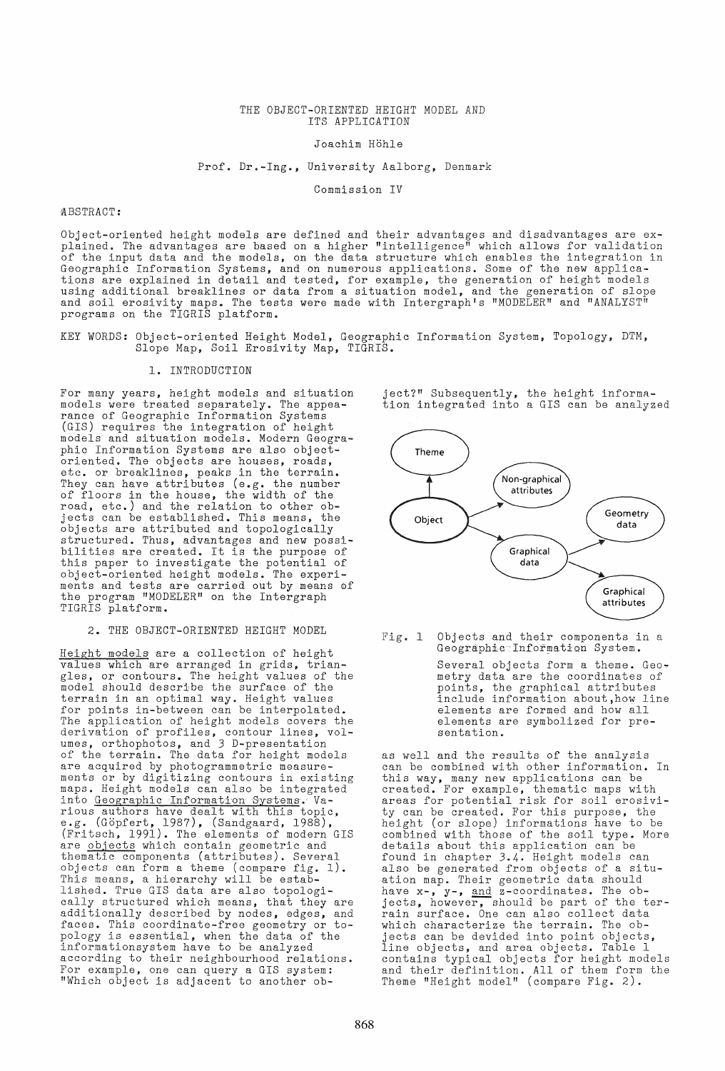#### THE OBJECT-ORIENTED HEIGHT MODEL AND ITS APPLICATION

Joachim Höhle

Prof. Dr.-Ing., University Aalborg, Denmark

Commission IV

#### QlBSTRACT:

Object-oriented height models are defined and their advantages and disadvantages are explained. The advantages are based on a higher "intelligence!! which allows for validation of the input data and the models, on the data structure which enables the integration in Geographic Information Systems, and on numerous applications. Some of the new applications are explained in detail and tested, for example, the generation of height models using additional breaklines or data from a situation model, and the generation of slope and soil erosivity maps. The tests were made with Intergraph's "MODELER" and "ANALYST" programs on the TIGRIS platform.

KEY WORDS: Object-oriented Height Model, Geographic Information System, Topology, DTM, Slope Map, Soil Erosivity Map, TIGRIS.

# 1. INTRODUCTION

For many years, height models and situation models were treated separately. The appearance of Geographic Information Systems (GIS) requires the integration of height models and situation models. Modern Geographic Information Systems are also objectoriented. The objects are houses, roads, etc. or breaklines, peaks in the terrain. They can have attributes (e.g. the number of floors in the house, the width of the road, etc.) and the relation to other objects can be established. This means, the objects are attributed and topologically structured. Thus, advantages and new possibilities are created. It is the purpose of this paper to investigate the potential of object-oriented height models. The experiexposs cribned horshe meadrs. The experithe program "MODELER" on the Intergraph TIGRIS platform.

### 2. THE OBJECT-ORIENTED HEIGHT MODEL

Height models are a collection of height values which are arranged in grids, triangles, or contours. The height values of the model should describe the surface of the terrain in an optimal way. Height values for points in-between can be interpolated. The application of height models covers the derivation of profiles, contour lines, volumes, orthophotos, and 3 D-presentation of the terrain. The data for height models are acquired by photogrammetric measureare assumed by photogrammetric modestic maps. Height models can also be integrated into Geographic Information B'Ys'tems'.' Various authors have dealt with this topic, e.g. (Göpfert, 1987), (Sandgaard, 1988), (Fritsch, 1991). The elements of modern GIS are objects which contain geometric and<br>thematic components (attributes). Several objects can form a theme (compare fig. 1). This means, a hierarchy will be established. True GIS data are also topologically structured which means, that they are additionally described by nodes, edges, and faces. This coordinate-free geometry or topology is essential, when the data of the informationsystem have to be analyzed according to their neighbourhood relations. For example, one can query a GIS system: "Which object is adjacent to another ob-

ject?" Subsequently, the height information integrated into a GIS can be analyzed



Fig. 1 Objects and their components in a Geographie Information System.

> Several objects form a theme. Geometry data are the coordinates of points, the graphical attributes include information about,how line elements are formed and how all elements are symbolized for presentation.

as well and the results of the analysis can be combined with other information. In this way, many new applications can be created. For example, thematic maps with areas for potential risk for soil erosivity can be created. For this purpose, the height (or slope) informations have to be combined with those of the soil type. More details about this application can be found in chapter 3.4. Height models can also be generated from objects of a situation map. Their geometric data should<br>have x-, y-, and z-coordinates. The objects, however, should be part of the terrain surface. One can also collect data which characterize the terrain. The objects can be devided into point objects, line objects, and area objects. Table 1 contains typical objects for height models and their definition. All of them form the Theme "Height model" (compare Fig. 2).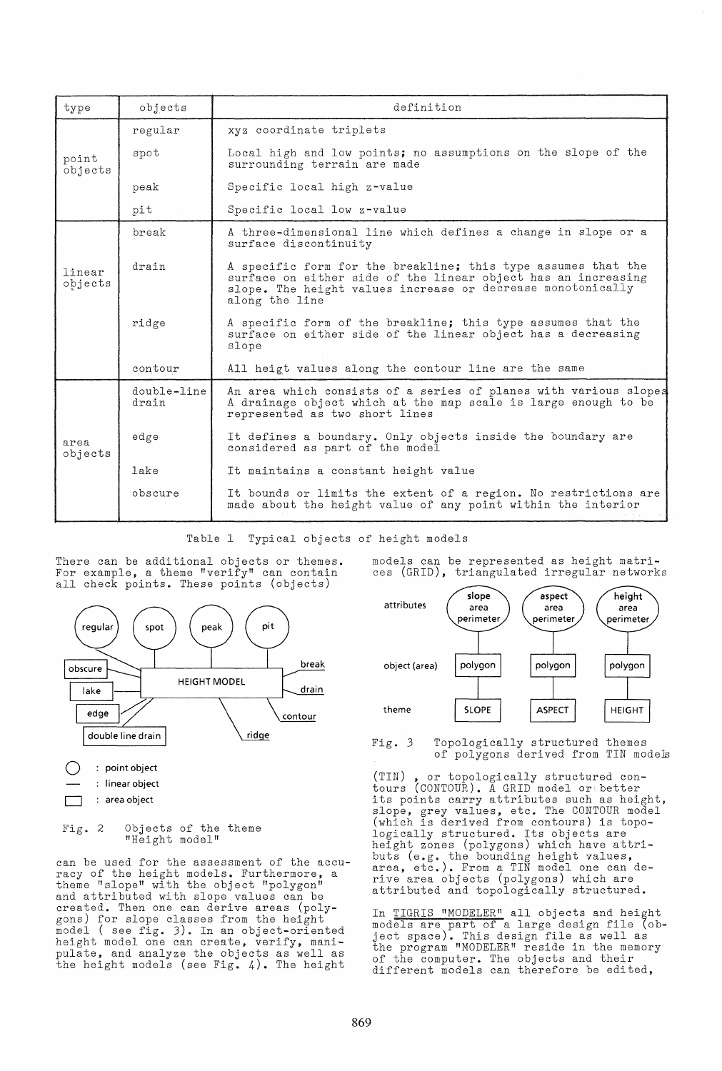| type              | objects              | definition                                                                                                                                                                                                      |  |  |  |  |
|-------------------|----------------------|-----------------------------------------------------------------------------------------------------------------------------------------------------------------------------------------------------------------|--|--|--|--|
| point<br>objects  | regular              | xyz coordinate triplets                                                                                                                                                                                         |  |  |  |  |
|                   | spot                 | Local high and low points; no assumptions on the slope of the<br>surrounding terrain are made                                                                                                                   |  |  |  |  |
|                   | peak                 | Specific local high z-value                                                                                                                                                                                     |  |  |  |  |
|                   | pit                  | Specific local low z-value                                                                                                                                                                                      |  |  |  |  |
| linear<br>objects | break                | A three-dimensional line which defines a change in slope or a<br>surface discontinuity                                                                                                                          |  |  |  |  |
|                   | drain                | A specific form for the breakline; this type assumes that the<br>surface on either side of the linear object has an increasing<br>slope. The height values increase or decrease monotonically<br>along the line |  |  |  |  |
|                   | ridge                | A specific form of the breakline; this type assumes that the<br>surface on either side of the linear object has a decreasing<br>slope                                                                           |  |  |  |  |
|                   | contour              | All heigt values along the contour line are the same                                                                                                                                                            |  |  |  |  |
| area<br>objects   | double-line<br>drain | An area which consists of a series of planes with various slopes<br>A drainage object which at the map scale is large enough to be<br>represented as two short lines                                            |  |  |  |  |
|                   | edge                 | It defines a boundary. Only objects inside the boundary are<br>considered as part of the model                                                                                                                  |  |  |  |  |
|                   | lake                 | It maintains a constant height value                                                                                                                                                                            |  |  |  |  |
|                   | obscure              | It bounds or limits the extent of a region. No restrictions are<br>made about the height value of any point within the interior                                                                                 |  |  |  |  |

Table I Typical objects of height models

There can be additional objects or themes. For example, a theme "verify" can contain



Fig. 2 Objects of the theme "Height model"

can be used for the assessment of the accuracy of the height models. Furthermore, a theme "slope" with the object "polygon" and attributed with slope values can be created. Then one can derive areas (polygons) for slope classes from the height model ( see fig. 3). In an object-oriented height model one can create, verify, manipulate, and analyze the objects as well as the height models (see Fig. 4). The height

models can be represented as height matrices (GRID), triangulated irregular networks



Fig. 3 Topologically structured themes of polygons derived from TIN models

(TIN) , or topologically structured contours (CONTOUR). A GRID model or better its points carry attributes such as height, slope, grey values, etc. The CONTOUR model (which is derived from contours) is topologically structured. Its objects are height zones (polygons) which have attributs (e.g. the bounding height values, area, etc.). From a TIN model one can derive area objects (polygons) which are attributed and topologically structured.

In TIGRIS "MODELER" all objects and height models are part of a large design file (object space). This design file as well as the program "MODELER" reside in the memory of the computer. The objects and their different models can therefore be edited,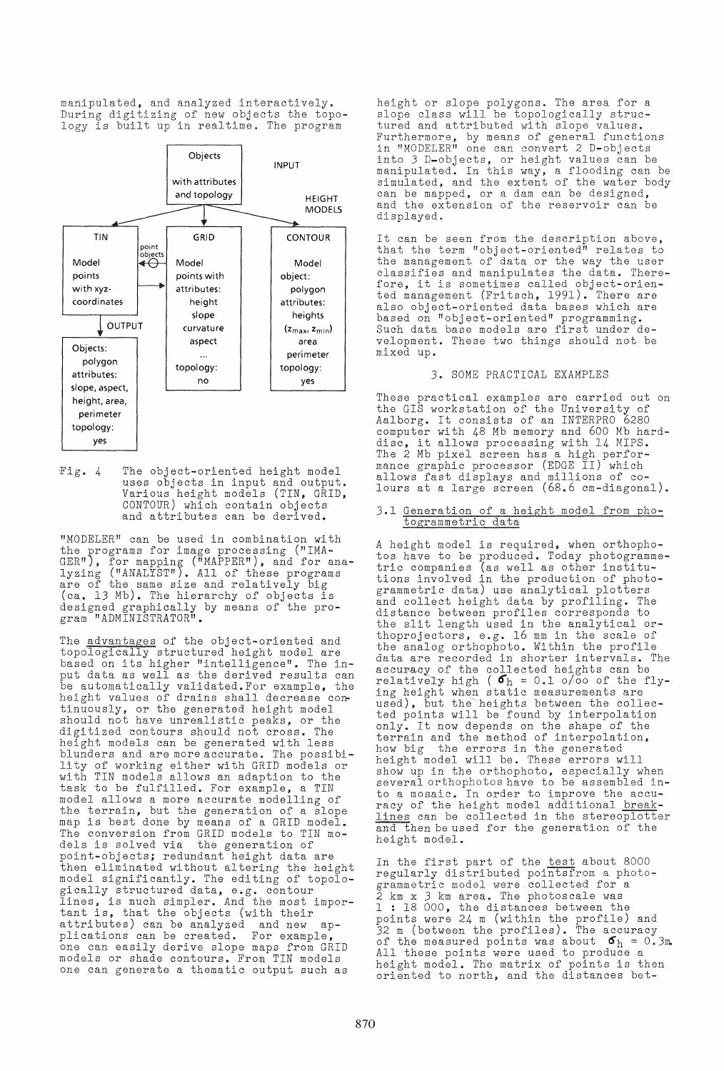manipulated, and analyzed interactively. During digitizing of new objects the topology is built up in realtime. The program



-Fig. 4 The object-oriented height model uses objects in input and output. Various height models (TIN, GRID, CONTOUR) which contain objects and attributes can be derived.

"MODELER" can be used in combination with the :programs for image processing ("IMA-GER"), for mapping ("MAPPER"), and for analyzing ("ANALYST"). All of these programs are of the same size and relatively big (ca. 13 Mb). The hierarchy of objects is designed graphically by means of the program "ADMINISTRATOR"

The advantages of the object-oriented and Incomment of the segsect strength and topologically structured height model are<br>based on its higher "intelligence". The input data as well as the derived results can be automatically validated. For example, the so adoomacroarry varradood: of champro, one tinuously, or the generated height model should not have unrealistic peaks, or the digitized contours should not cross. The height models can be generated with less blunders and are more accurate. The possibility of working either with GRID models or with TIN models allows an adaption to the task to be fulfilled. For example, a TIN model allows a more accurate modelling of the terrain, but the generation of a slope map is best done by means of a GRID model. The conversion from GRID models to TIN models is solved via the generation of acip is beived vid one generation of then eliminated without altering the height model significantly. The editing of topologically structured data, e.g. contour. gically bordeoured data, e.g. confour<br>lines, is much simpler. And the most important is, that the objects (with their attributes) can be analyzed and new applications can be created. For example, one can easily derive slope maps from GRID models or shade contours. From TIN models one can generate a thematic output such as

height or slope polygons. The area for a slope class will be topologically structured and attributed with slope values. Furthermore, by means of general functions in lIMODELER" one can convert 2 D-objects into 3 D-objects, or height values can be manipulated. In this way, a flooding can be simulated, and the extent of the water body can be mapped, or a dam can be deslgned, and the extension of the reservoir can be displayed.

It can be seen from the description above, that the term "object-oriented" relates to the management of data or the way the user classifies and manipulates the data. Therefore, it is sometimes called object-oriented management (Fritsch, 1991). There are also object-oriented data bases which are based on "object-oriented" programmlng. Such data base models are first under development. These two things should not be mixed up.

# 3. SOME PRACTICAL EXAMPLES

These practical examples are carried out on the GIS workstation of the University of Aalborg. It consists of an INTERPRO 6280 computer with 48 Mb memory and 600 Mb hardcomputer with 48 Mb memory and 600 Mb had disc, it allows processing with 14 MIPS. alse, it allows processing with 14 mirs.<br>The 2 Mb pixel screen has a high performance graphic processor (EDGE II) which allows fast displays and millions of colours at a large screen (68.6 cm-diagonal).

# 3.1 Generation of a height model from photogrammetric data

A height model is required, when orthophotos have to be produced. Today photogrammetric companies (as well as other institutions involved in the production of photogrammetric data) use analytical plotters and collect height data by profiling. The distance between profiles corresponds to the slit length used in the analytical orthoprojectors, e.g. 16 mm in the scale of the analog orthophoto. Within the profile data are recorded in shorter intervals. The accuracy of the collected heights can be relatively high ( $\sigma_h$  = 0.1 0/00 of the flying height when static measurements are used), but the heights between the collecdepoints will be found by interpolation<br>only. It now depends on the shape of the terrain and the method of interpolation, how big the errors in the generated. height model will be. These erro:s wlll show up in the orthophoto, especlally when several orthophotos have to be assembled into a mosaic. In order to improve the accuracy of the height model additional breaklines can be collected in the stereoplotter and then be used for the generation of the height model.

In the first part of the test about 8000 regularly distributed pointsfrom a photogrammetric model were collected for a 2 km x 3 km area. The photoscale was 1 : 18 000, the distances between the points were 24 m (within the profile) and 32 m (between the profiles). The accuracy of the measured points was about  $\sigma_h = 0.3$ m.<br>All these points were used to produce a height model. The matrix of points is then oriented to north, and the distances bet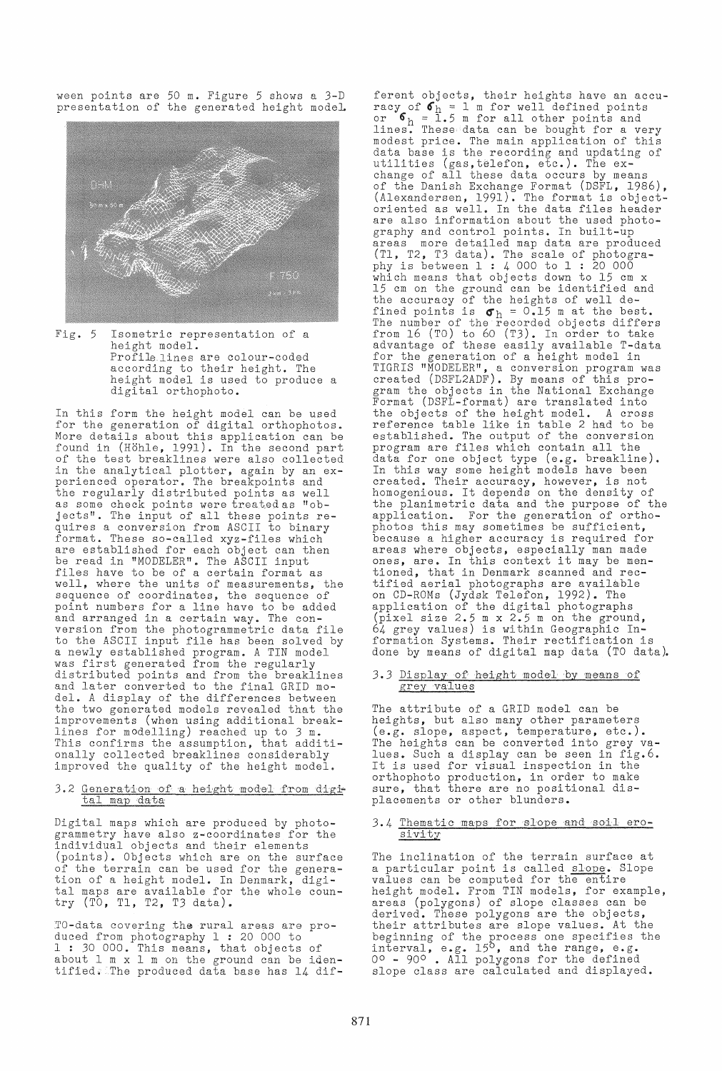ween points are 50 m. Figure 5 shows a 3-D presentation of the generated height model.



Fig. 5 Isometric representation of a height model. Profile lines are colour-coded according to their height. The height model is used to produce a digital orthophoto.

In this form the height model can be used for the generation of digital orthophotos. More details about this application can be found in (Hohle, 1991). In the second part of the test breaklines were also collected in the analytical plotter, again by an experienced operator. The breakpoints and the regularly distributed points as well as some check points were treated as "objects". The input of all these points requires a conversion from ASCII to binary format. These so-called xyz-files which are established for each object can then be read in "MODELER". The ASCII input files have to be of a certain format as well, where the units of measurements, the sequence of coordinates, the sequence of point numbers for a line have to be added and arranged in a certain way. The conversion from the photogrammetric data file to the ASCII input file has been solved by a newly established program. A TIN model was first generated from the regularly distributed points and from the breaklines and later converted to the final GRID model. A display of the differences between the two generated models revealed that the improvements (when using additional breaklines for modelling) reached up to 3 m. Inter for measining, reasons approximate in onally collected breaklines considerably improved the quality of the height model.

# 3.2 Generation of a height model from digital map data

Digital maps which are produced by photogrammetry have also z-coordinates for the individual objects and their elements (points). Objects which are on the surface of the terrain can be used for the generation of a height model. In Denmark, digital maps are available for the whole country (TO, Tl, T2, T3 data).

TO-data covering the rural areas are produced from photography 1: 20 000 to 1: 30 000. This means, that objects of about 1 m x 1 m on the ground can be identified. The produced data base has 14 dif-

ferent objects, their heights have an accuracy of  $\sigma_h^b = 1$  m for well defined points<br>or  $\sigma_h = 1.5$  m for all other points and<br>lines. These data can be bought for a very modest price. The main application of this data base is the recording and updating of utilities (gas,telefon, etc.). The exchange of all these data occurs by means of the Danish Exchange Format (DSFL, 1986), (Alexandersen, 1991). The format is objectoriented as well. In the data files header are also information about the used photography and control points. In built-up more detailed map data are produced (Tl, T2, T3 data). The scale of photogra-phy is between 1 : 4 000 to 1 : 20 000 which means that objects down to 15 cm x 15 cm on the ground can be identified and the accuracy of the heights of well defined points is  $\sigma_h = 0.15$  m at the best. The number of the recorded objects differs from 16 (TO) to 60 (T3). In order to take advantage of these easily available T-data for the generation of a height model in TIGRIS "MODELER", a conversion program was<br>created (DSFL2ADF). By means of this program the objects in the National Exchange Format (DSFL-format) are translated into the objects of the height model. A cross reference table like in table 2 had to be established. The output of the conversion program are files which contain all the data for one object type (e.g. breakline). In this way some height models have been created. Their accuracy, however, is not homogenious. It depends on the density of the planimetric data and the purpose of the application. For the generation of orthophotos this may sometimes be sufficient, because a higher accuracy is required for areas where objects, especially man made ones, are. In this context it may be mentioned, that in Denmark scanned and rectified aerial photographs are available on CD-ROMs (Jydsk Telefon, 1992). The application of the digital photographs (pixel size 2.5 m x 2.5 m on the ground, 64 grey values) is within Geographic Information Systems. Their rectification is done by means of digital map data (TO data).

# 3.3 Display of height model by means of grey values

The attribute of a GRID model can be heights, but also many other parameters (e.g. slope, aspect, temperature, etc.). The heights can be converted into grey values. Such a display can be seen in fig.6. It is used for visual inspection in the orthophoto production, in order to make sure, that there are no positional displacements or other blunders.

#### 3.4 Thematic maps for slope and soil erosivi ty

The inclination of the terrain surface at a particular point is called slope. Slope values can be computed for the entire height model. From TIN models, for example, areas (polygons) of slope classes can be derived. These polygons are the objects, their attributes are slope values. At the beginning of the process one specifies the  $\frac{1}{2}$  interval, e.g.  $15^{\circ}$ , and the range, e.g. 00 - 900. All polygons for the defined slope class are calculated and displayed.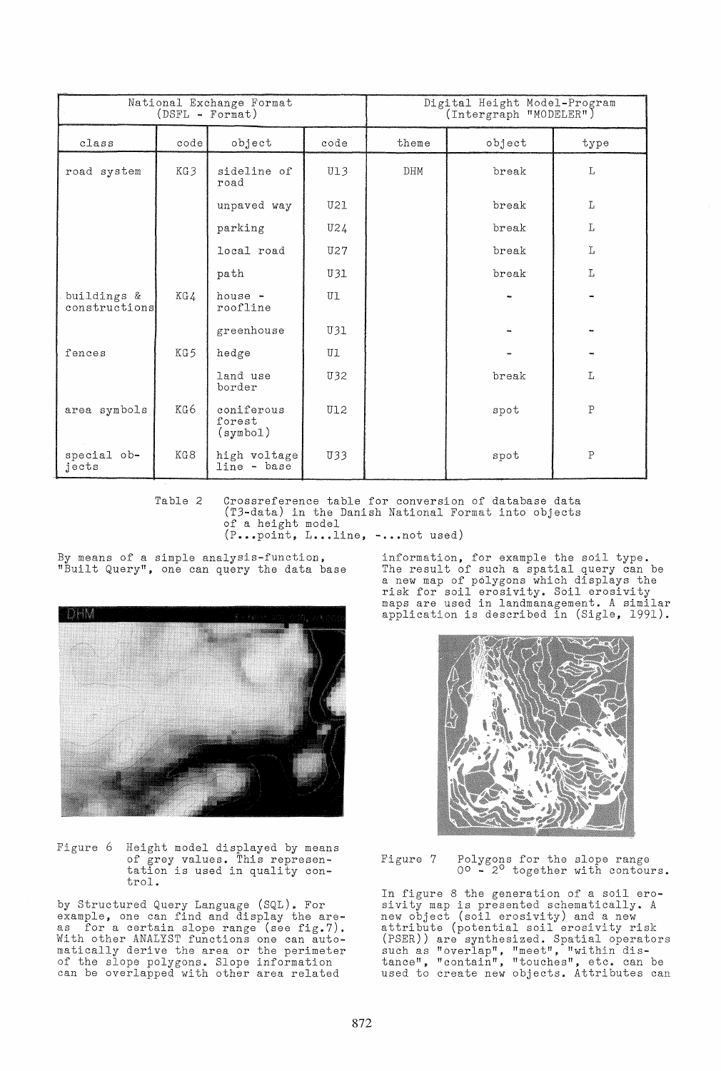| National Exchange Format<br>$(DSFL - Format)$ |      |                                  |            | Digital Height Model-Program<br>(Intergraph "MODELER") |        |              |
|-----------------------------------------------|------|----------------------------------|------------|--------------------------------------------------------|--------|--------------|
| class                                         | code | object                           | code       | theme                                                  | object | type         |
| road system                                   | KG3  | sideline of<br>road              | UI3        | DHM                                                    | break  | L            |
|                                               |      | unpaved way                      | U21        |                                                        | break  | L            |
|                                               |      | parking                          | U24        |                                                        | break  | L            |
|                                               |      | local road                       | U27        |                                                        | break  | L            |
|                                               |      | path                             | U31        |                                                        | break  | L            |
| buildings &<br>constructions                  | KG 4 | house -<br>roofline              | U1         |                                                        |        |              |
|                                               |      | greenhouse                       | U31        |                                                        |        |              |
| fences                                        | KG5  | hedge                            | U1         |                                                        |        |              |
|                                               |      | land use<br>border               | U32        |                                                        | break  | L            |
| area symbols                                  | KG 6 | coniferous<br>forest<br>(symbol) | <b>U12</b> |                                                        | spot   | $\mathbf{P}$ |
| special ob-<br>jects                          | KG8  | high voltage<br>line - base      | U33        |                                                        | spot   | $\mathsf{P}$ |

Table 2 Crossreference table for conversion of database data (T3-data) in the Danish National Format into objects of a height model  $(P_{\bullet\bullet\bullet}$  point,  $L_{\bullet\bullet\bullet}$ .line,  $-\bullet\bullet$ .not used)

By means of a simple analysis-function, "Built Query", one can query the data base



Figure 6 Height model displayed by means of grey values. This representation is used in quality con- trol.

by Structured Query Language (SQL). For example, one can find and display the areenample, one can find and arspid, one are ... With other ANALYST functions one can automatically derive the area or the perimeter of the slope polygons. Slope information can be overlapped with other area related

information, for example the soil type. Information, for oxample the seil type.<br>The result of such a spatial query can be a new map of polygons which displays the risk for soil erosivity. Soil erosivity maps are used in landmanagement. A similar application is described in (Sigle, 1991).



Figure 7 Polygons for the slope range 00 - 20 together with contours.

In figure 8 the generation of a soil erosivity map is presented schematically. A new object (soil erosivity) and a new attribute (potential soil erosivity risk (PSER)) are synthesized. Spatial operators such as "overlap", "meet", "within distance", "contain", "touches", etc. can be used to create new objects. Attributes can